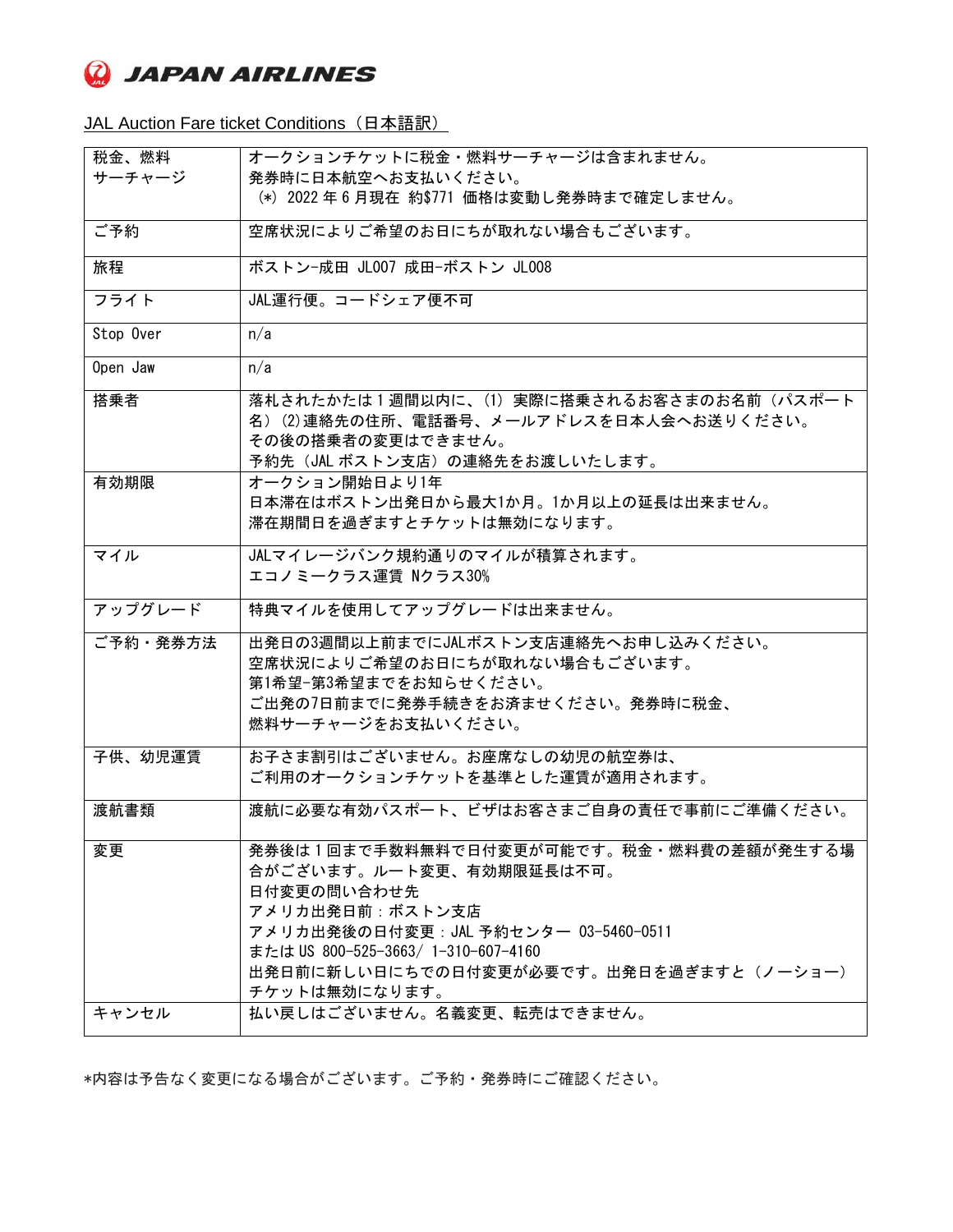**Q** JAPAN AIRLINES

JAL Auction Fare ticket Conditions (日本語訳)

| 税金、燃料     | オークションチケットに税金・燃料サーチャージは含まれません。                                                                                                                                                                                                                    |
|-----------|---------------------------------------------------------------------------------------------------------------------------------------------------------------------------------------------------------------------------------------------------|
| サーチャージ    | 発券時に日本航空へお支払いください。                                                                                                                                                                                                                                |
|           | (*) 2022年6月現在 約\$771 価格は変動し発券時まで確定しません。                                                                                                                                                                                                           |
| ご予約       | 空席状況によりご希望のお日にちが取れない場合もございます。                                                                                                                                                                                                                     |
| 旅程        | ボストン-成田 JL007 成田-ボストン JL008                                                                                                                                                                                                                       |
| フライト      | JAL運行便。コードシェア便不可                                                                                                                                                                                                                                  |
| Stop Over | n/a                                                                                                                                                                                                                                               |
| Open Jaw  | n/a                                                                                                                                                                                                                                               |
| 搭乗者       | 落札されたかたは1週間以内に、(1)実際に搭乗されるお客さまのお名前(パスポート<br>名) (2)連絡先の住所、電話番号、メールアドレスを日本人会へお送りください。<br>その後の搭乗者の変更はできません。<br>予約先(JAL ボストン支店)の連絡先をお渡しいたします。                                                                                                         |
| 有効期限      | オークション開始日より1年<br>日本滞在はボストン出発日から最大1か月。1か月以上の延長は出来ません。<br>滞在期間日を過ぎますとチケットは無効になります。                                                                                                                                                                  |
| マイル       | JALマイレージバンク規約通りのマイルが積算されます。<br>エコノミークラス運賃 Nクラス30%                                                                                                                                                                                                 |
| アップグレード   | 特典マイルを使用してアップグレードは出来ません。                                                                                                                                                                                                                          |
| ご予約・発券方法  | 出発日の3週間以上前までにJALボストン支店連絡先へお申し込みください。<br>空席状況によりご希望のお日にちが取れない場合もございます。<br>第1希望-第3希望までをお知らせください。<br>ご出発の7日前までに発券手続きをお済ませください。発券時に税金、<br>燃料サーチャージをお支払いください。                                                                                          |
| 子供、幼児運賃   | お子さま割引はございません。お座席なしの幼児の航空券は、<br>ご利用のオークションチケットを基準とした運賃が適用されます。                                                                                                                                                                                    |
| 渡航書類      | 渡航に必要な有効パスポート、ビザはお客さまご自身の責任で事前にご準備ください。                                                                                                                                                                                                           |
| 変更        | 発券後は1回まで手数料無料で日付変更が可能です。税金·燃料費の差額が発生する場<br>合がございます。ルート変更、有効期限延長は不可。<br>日付変更の問い合わせ先<br>アメリカ出発日前:ボストン支店<br>アメリカ出発後の日付変更: JAL 予約センター 03-5460-0511<br>または US 800-525-3663/ 1-310-607-4160<br>出発日前に新しい日にちでの日付変更が必要です。出発日を過ぎますと(ノーショー)<br>チケットは無効になります。 |
| キャンセル     | 払い戻しはございません。名義変更、転売はできません。                                                                                                                                                                                                                        |

\*内容は予告なく変更になる場合がございます。ご予約・発券時にご確認ください。